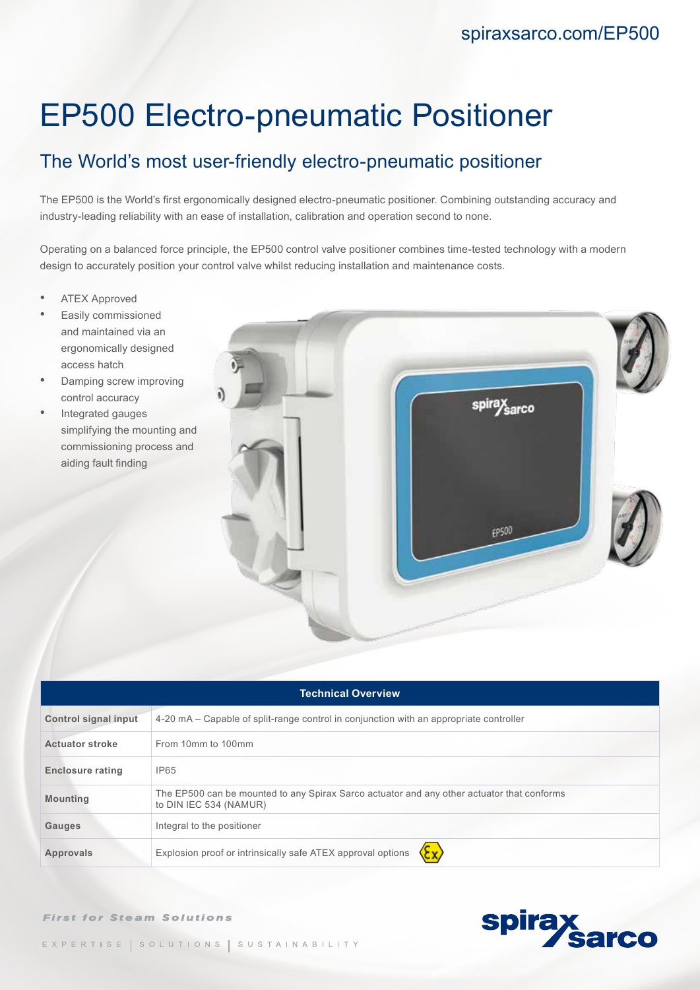# EP500 Electro-pneumatic Positioner

## The World's most user-friendly electro-pneumatic positioner

The EP500 is the World's first ergonomically designed electro-pneumatic positioner. Combining outstanding accuracy and industry-leading reliability with an ease of installation, calibration and operation second to none.

Operating on a balanced force principle, the EP500 control valve positioner combines time-tested technology with a modern design to accurately position your control valve whilst reducing installation and maintenance costs.

- **ATEX Approved**
- Easily commissioned and maintained via an ergonomically designed access hatch
- Damping screw improving control accuracy
- Integrated gauges simplifying the mounting and commissioning process and aiding fault finding



| <b>Technical Overview</b>   |                                                                                                                      |
|-----------------------------|----------------------------------------------------------------------------------------------------------------------|
| <b>Control signal input</b> | 4-20 mA – Capable of split-range control in conjunction with an appropriate controller                               |
| <b>Actuator stroke</b>      | From 10mm to 100mm                                                                                                   |
| <b>Enclosure rating</b>     | <b>IP65</b>                                                                                                          |
| <b>Mounting</b>             | The EP500 can be mounted to any Spirax Sarco actuator and any other actuator that conforms<br>to DIN IEC 534 (NAMUR) |
| Gauges                      | Integral to the positioner                                                                                           |
| <b>Approvals</b>            | Explosion proof or intrinsically safe ATEX approval options                                                          |

**First for Steam Solutions**